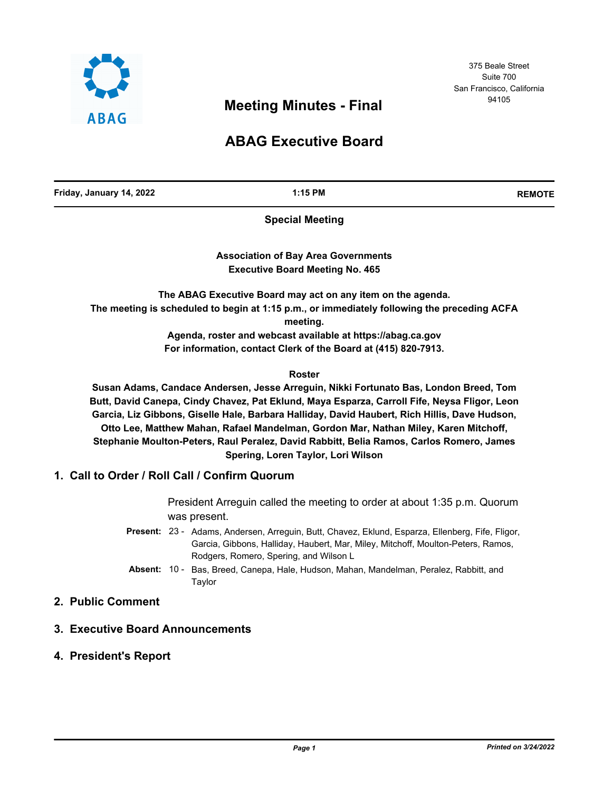

375 Beale Street Suite 700 San Francisco, California

# <sup>94105</sup> **Meeting Minutes - Final**

## **ABAG Executive Board**

**Friday, January 14, 2022 1:15 PM REMOTE**

**Special Meeting**

**Association of Bay Area Governments Executive Board Meeting No. 465**

**The ABAG Executive Board may act on any item on the agenda. The meeting is scheduled to begin at 1:15 p.m., or immediately following the preceding ACFA meeting.**

> **Agenda, roster and webcast available at https://abag.ca.gov For information, contact Clerk of the Board at (415) 820-7913.**

#### **Roster**

**Susan Adams, Candace Andersen, Jesse Arreguin, Nikki Fortunato Bas, London Breed, Tom Butt, David Canepa, Cindy Chavez, Pat Eklund, Maya Esparza, Carroll Fife, Neysa Fligor, Leon Garcia, Liz Gibbons, Giselle Hale, Barbara Halliday, David Haubert, Rich Hillis, Dave Hudson, Otto Lee, Matthew Mahan, Rafael Mandelman, Gordon Mar, Nathan Miley, Karen Mitchoff, Stephanie Moulton-Peters, Raul Peralez, David Rabbitt, Belia Ramos, Carlos Romero, James Spering, Loren Taylor, Lori Wilson**

## **1. Call to Order / Roll Call / Confirm Quorum**

President Arreguin called the meeting to order at about 1:35 p.m. Quorum was present.

- Present: 23 Adams, Andersen, Arreguin, Butt, Chavez, Eklund, Esparza, Ellenberg, Fife, Fligor, Garcia, Gibbons, Halliday, Haubert, Mar, Miley, Mitchoff, Moulton-Peters, Ramos, Rodgers, Romero, Spering, and Wilson L
- Absent: 10 Bas, Breed, Canepa, Hale, Hudson, Mahan, Mandelman, Peralez, Rabbitt, and Taylor

## **2. Public Comment**

## **3. Executive Board Announcements**

**4. President's Report**